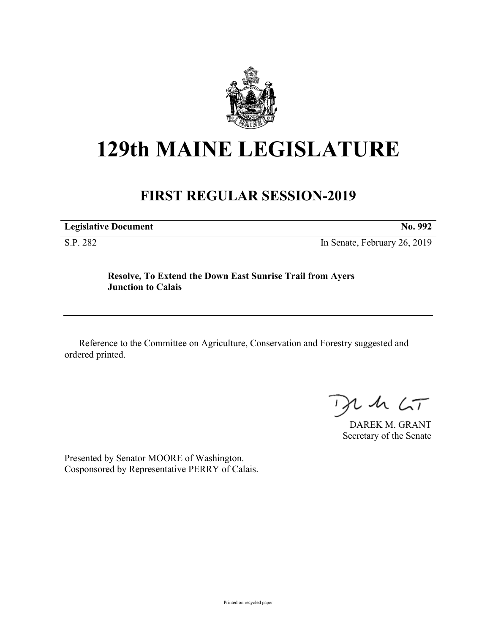

## **129th MAINE LEGISLATURE**

## **FIRST REGULAR SESSION-2019**

**Legislative Document No. 992**

S.P. 282 In Senate, February 26, 2019

## **Resolve, To Extend the Down East Sunrise Trail from Ayers Junction to Calais**

Reference to the Committee on Agriculture, Conservation and Forestry suggested and ordered printed.

 $425$ 

DAREK M. GRANT Secretary of the Senate

Presented by Senator MOORE of Washington. Cosponsored by Representative PERRY of Calais.